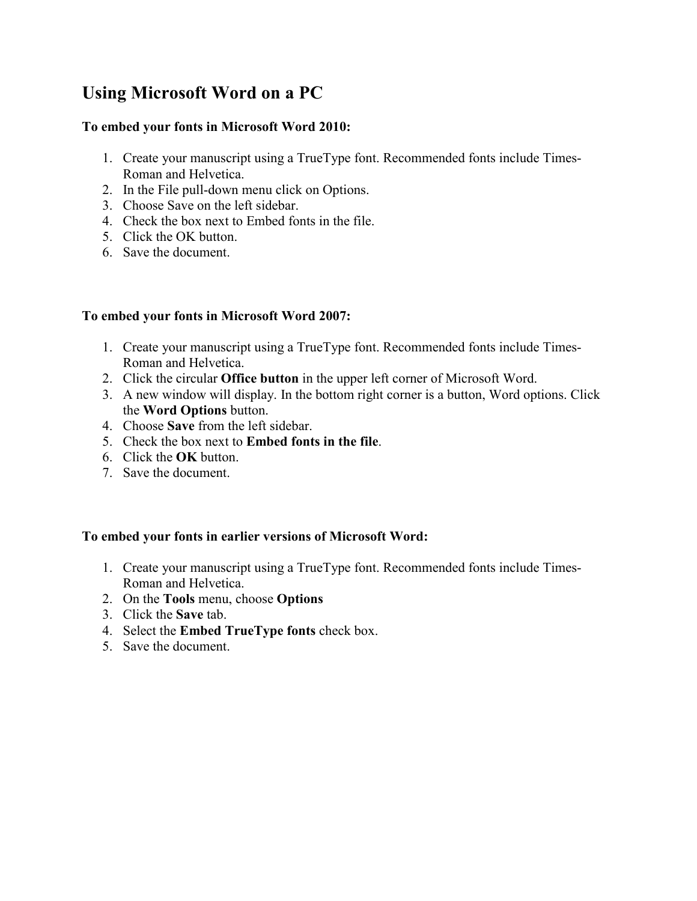# **Using Microsoft Word on a PC**

#### **To embed your fonts in Microsoft Word 2010:**

- 1. Create your manuscript using a TrueType font. Recommended fonts include Times-Roman and Helvetica.
- 2. In the File pull-down menu click on Options.
- 3. Choose Save on the left sidebar.
- 4. Check the box next to Embed fonts in the file.
- 5. Click the OK button.
- 6. Save the document.

### **To embed your fonts in Microsoft Word 2007:**

- 1. Create your manuscript using a TrueType font. Recommended fonts include Times-Roman and Helvetica.
- 2. Click the circular **Office button** in the upper left corner of Microsoft Word.
- 3. A new window will display. In the bottom right corner is a button, Word options. Click the **Word Options** button.
- 4. Choose **Save** from the left sidebar.
- 5. Check the box next to **Embed fonts in the file**.
- 6. Click the **OK** button.
- 7. Save the document.

#### **To embed your fonts in earlier versions of Microsoft Word:**

- 1. Create your manuscript using a TrueType font. Recommended fonts include Times-Roman and Helvetica.
- 2. On the **Tools** menu, choose **Options**
- 3. Click the **Save** tab.
- 4. Select the **Embed TrueType fonts** check box.
- 5. Save the document.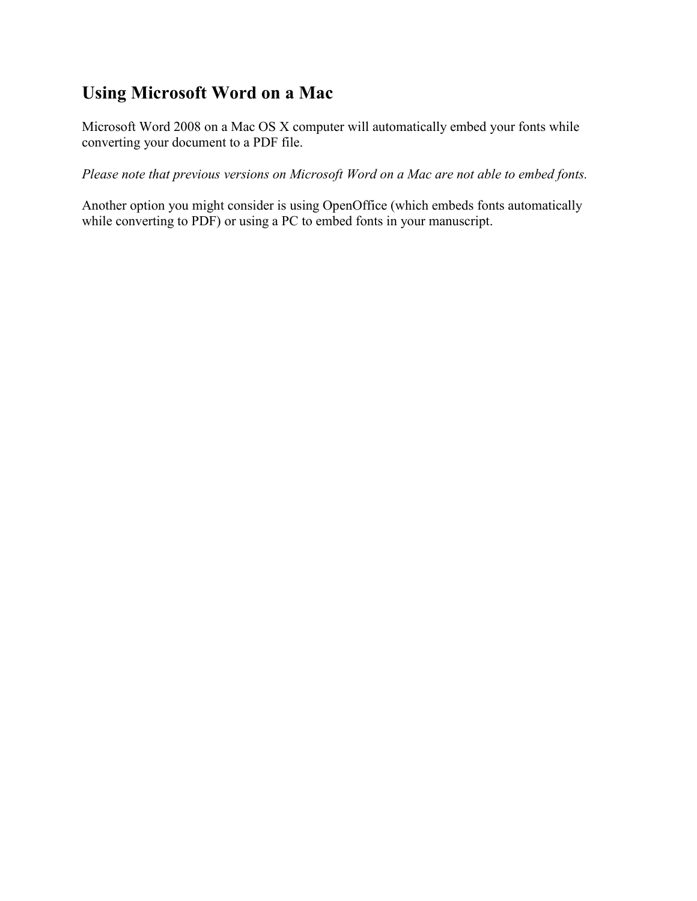## **Using Microsoft Word on a Mac**

Microsoft Word 2008 on a Mac OS X computer will automatically embed your fonts while converting your document to a PDF file.

*Please note that previous versions on Microsoft Word on a Mac are not able to embed fonts.*

Another option you might consider is using OpenOffice (which embeds fonts automatically while converting to PDF) or using a PC to embed fonts in your manuscript.